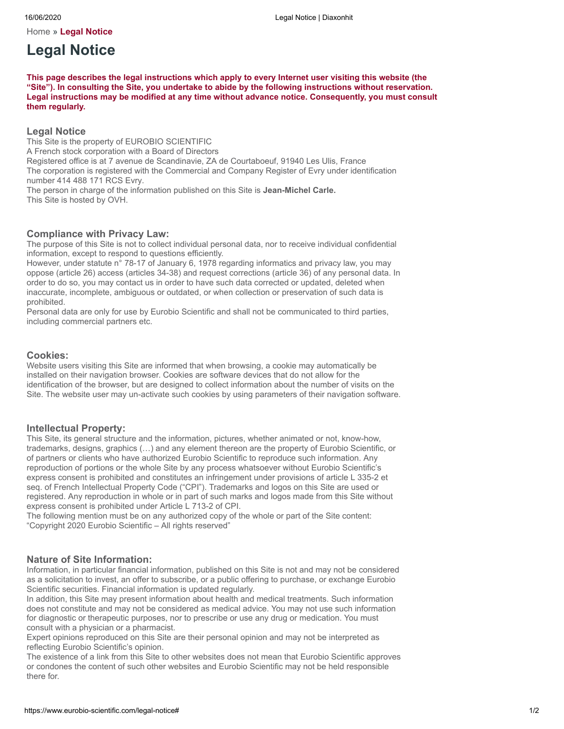[Home](https://www.eurobio-scientific.com/) » **Legal Notice**

# **Legal Notice**

**This page describes the legal instructions which apply to every Internet user visiting this website (the "Site"). In consulting the Site, you undertake to abide by the following instructions without reservation. Legal instructions may be modified at any time without advance notice. Consequently, you must consult them regularly.**

### **Legal Notice**

This Site is the property of EUROBIO SCIENTIFIC A French stock corporation with a Board of Directors Registered office is at 7 avenue de Scandinavie, ZA de Courtaboeuf, 91940 Les Ulis, France The corporation is registered with the Commercial and Company Register of Evry under identification number 414 488 171 RCS Evry. The person in charge of the information published on this Site is **Jean-Michel Carle.** This Site is hosted by OVH.

### **Compliance with Privacy Law:**

The purpose of this Site is not to collect individual personal data, nor to receive individual confidential information, except to respond to questions efficiently.

However, under statute n° 78-17 of January 6, 1978 regarding informatics and privacy law, you may oppose (article 26) access (articles 34-38) and request corrections (article 36) of any personal data. In order to do so, you may contact us in order to have such data corrected or updated, deleted when inaccurate, incomplete, ambiguous or outdated, or when collection or preservation of such data is prohibited.

Personal data are only for use by Eurobio Scientific and shall not be communicated to third parties, including commercial partners etc.

#### **Cookies:**

Website users visiting this Site are informed that when browsing, a cookie may automatically be installed on their navigation browser. Cookies are software devices that do not allow for the identification of the browser, but are designed to collect information about the number of visits on the Site. The website user may un-activate such cookies by using parameters of their navigation software.

#### **Intellectual Property:**

This Site, its general structure and the information, pictures, whether animated or not, know-how, trademarks, designs, graphics (…) and any element thereon are the property of Eurobio Scientific, or of partners or clients who have authorized Eurobio Scientific to reproduce such information. Any reproduction of portions or the whole Site by any process whatsoever without Eurobio Scientific's express consent is prohibited and constitutes an infringement under provisions of article L 335-2 et seq. of French Intellectual Property Code ("CPI"). Trademarks and logos on this Site are used or registered. Any reproduction in whole or in part of such marks and logos made from this Site without express consent is prohibited under Article L 713-2 of CPI.

The following mention must be on any authorized copy of the whole or part of the Site content: "Copyright 2020 Eurobio Scientific – All rights reserved"

#### **Nature of Site Information:**

Information, in particular financial information, published on this Site is not and may not be considered as a solicitation to invest, an offer to subscribe, or a public offering to purchase, or exchange Eurobio Scientific securities. Financial information is updated regularly.

In addition, this Site may present information about health and medical treatments. Such information does not constitute and may not be considered as medical advice. You may not use such information for diagnostic or therapeutic purposes, nor to prescribe or use any drug or medication. You must consult with a physician or a pharmacist.

Expert opinions reproduced on this Site are their personal opinion and may not be interpreted as reflecting Eurobio Scientific's opinion.

The existence of a link from this Site to other websites does not mean that Eurobio Scientific approves or condones the content of such other websites and Eurobio Scientific may not be held responsible there for.